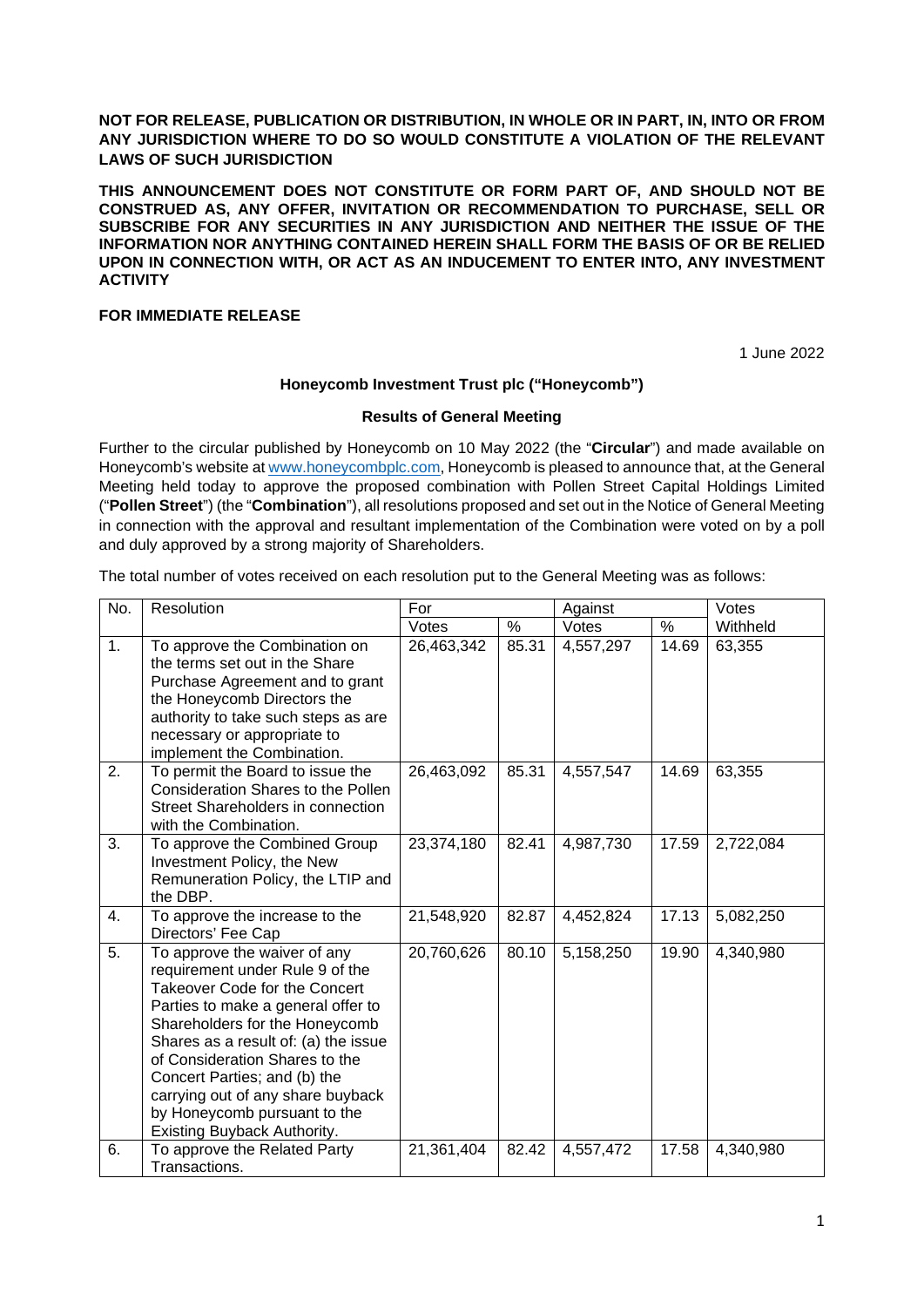**NOT FOR RELEASE, PUBLICATION OR DISTRIBUTION, IN WHOLE OR IN PART, IN, INTO OR FROM ANY JURISDICTION WHERE TO DO SO WOULD CONSTITUTE A VIOLATION OF THE RELEVANT LAWS OF SUCH JURISDICTION** 

**THIS ANNOUNCEMENT DOES NOT CONSTITUTE OR FORM PART OF, AND SHOULD NOT BE CONSTRUED AS, ANY OFFER, INVITATION OR RECOMMENDATION TO PURCHASE, SELL OR SUBSCRIBE FOR ANY SECURITIES IN ANY JURISDICTION AND NEITHER THE ISSUE OF THE INFORMATION NOR ANYTHING CONTAINED HEREIN SHALL FORM THE BASIS OF OR BE RELIED UPON IN CONNECTION WITH, OR ACT AS AN INDUCEMENT TO ENTER INTO, ANY INVESTMENT ACTIVITY** 

# **FOR IMMEDIATE RELEASE**

1 June 2022

#### **Honeycomb Investment Trust plc ("Honeycomb")**

#### **Results of General Meeting**

Further to the circular published by Honeycomb on 10 May 2022 (the "**Circular**") and made available on Honeycomb's website at www.honeycombplc.com, Honeycomb is pleased to announce that, at the General Meeting held today to approve the proposed combination with Pollen Street Capital Holdings Limited ("**Pollen Street**") (the "**Combination**"), all resolutions proposed and set out in the Notice of General Meeting in connection with the approval and resultant implementation of the Combination were voted on by a poll and duly approved by a strong majority of Shareholders.

The total number of votes received on each resolution put to the General Meeting was as follows:

| No. | Resolution                                                                                                                                                                                                                                                                                                                                                                             | For        |       | Against   |       | Votes     |
|-----|----------------------------------------------------------------------------------------------------------------------------------------------------------------------------------------------------------------------------------------------------------------------------------------------------------------------------------------------------------------------------------------|------------|-------|-----------|-------|-----------|
|     |                                                                                                                                                                                                                                                                                                                                                                                        | Votes      | $\%$  | Votes     | $\%$  | Withheld  |
| 1.  | To approve the Combination on<br>the terms set out in the Share<br>Purchase Agreement and to grant<br>the Honeycomb Directors the<br>authority to take such steps as are<br>necessary or appropriate to<br>implement the Combination.                                                                                                                                                  | 26,463,342 | 85.31 | 4,557,297 | 14.69 | 63,355    |
| 2.  | To permit the Board to issue the<br>Consideration Shares to the Pollen<br>Street Shareholders in connection<br>with the Combination.                                                                                                                                                                                                                                                   | 26,463,092 | 85.31 | 4,557,547 | 14.69 | 63,355    |
| 3.  | To approve the Combined Group<br>Investment Policy, the New<br>Remuneration Policy, the LTIP and<br>the DBP.                                                                                                                                                                                                                                                                           | 23,374,180 | 82.41 | 4,987,730 | 17.59 | 2,722,084 |
| 4.  | To approve the increase to the<br>Directors' Fee Cap                                                                                                                                                                                                                                                                                                                                   | 21,548,920 | 82.87 | 4,452,824 | 17.13 | 5,082,250 |
| 5.  | To approve the waiver of any<br>requirement under Rule 9 of the<br>Takeover Code for the Concert<br>Parties to make a general offer to<br>Shareholders for the Honeycomb<br>Shares as a result of: (a) the issue<br>of Consideration Shares to the<br>Concert Parties; and (b) the<br>carrying out of any share buyback<br>by Honeycomb pursuant to the<br>Existing Buyback Authority. | 20,760,626 | 80.10 | 5,158,250 | 19.90 | 4,340,980 |
| 6.  | To approve the Related Party<br>Transactions.                                                                                                                                                                                                                                                                                                                                          | 21,361,404 | 82.42 | 4,557,472 | 17.58 | 4,340,980 |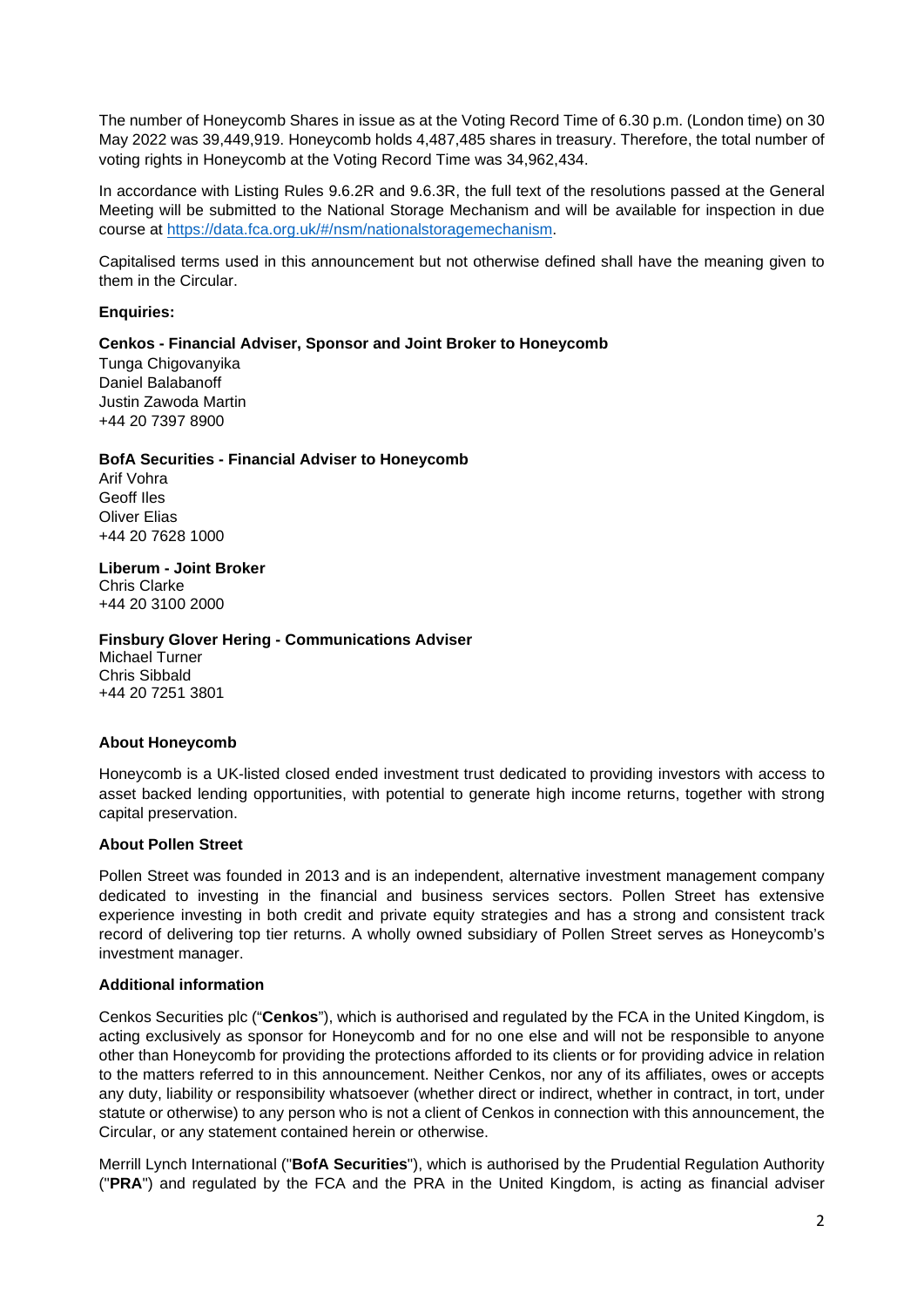The number of Honeycomb Shares in issue as at the Voting Record Time of 6.30 p.m. (London time) on 30 May 2022 was 39,449,919. Honeycomb holds 4,487,485 shares in treasury. Therefore, the total number of voting rights in Honeycomb at the Voting Record Time was 34,962,434.

In accordance with Listing Rules 9.6.2R and 9.6.3R, the full text of the resolutions passed at the General Meeting will be submitted to the National Storage Mechanism and will be available for inspection in due course at https://data.fca.org.uk/#/nsm/nationalstoragemechanism.

Capitalised terms used in this announcement but not otherwise defined shall have the meaning given to them in the Circular.

### **Enquiries:**

### **Cenkos - Financial Adviser, Sponsor and Joint Broker to Honeycomb**

Tunga Chigovanyika Daniel Balabanoff Justin Zawoda Martin +44 20 7397 8900

#### **BofA Securities - Financial Adviser to Honeycomb**

Arif Vohra Geoff Iles Oliver Elias +44 20 7628 1000

**Liberum - Joint Broker**

Chris Clarke +44 20 3100 2000

#### **Finsbury Glover Hering - Communications Adviser**

Michael Turner Chris Sibbald +44 20 7251 3801

# **About Honeycomb**

Honeycomb is a UK-listed closed ended investment trust dedicated to providing investors with access to asset backed lending opportunities, with potential to generate high income returns, together with strong capital preservation.

#### **About Pollen Street**

Pollen Street was founded in 2013 and is an independent, alternative investment management company dedicated to investing in the financial and business services sectors. Pollen Street has extensive experience investing in both credit and private equity strategies and has a strong and consistent track record of delivering top tier returns. A wholly owned subsidiary of Pollen Street serves as Honeycomb's investment manager.

# **Additional information**

Cenkos Securities plc ("**Cenkos**"), which is authorised and regulated by the FCA in the United Kingdom, is acting exclusively as sponsor for Honeycomb and for no one else and will not be responsible to anyone other than Honeycomb for providing the protections afforded to its clients or for providing advice in relation to the matters referred to in this announcement. Neither Cenkos, nor any of its affiliates, owes or accepts any duty, liability or responsibility whatsoever (whether direct or indirect, whether in contract, in tort, under statute or otherwise) to any person who is not a client of Cenkos in connection with this announcement, the Circular, or any statement contained herein or otherwise.

Merrill Lynch International ("**BofA Securities**"), which is authorised by the Prudential Regulation Authority ("**PRA**") and regulated by the FCA and the PRA in the United Kingdom, is acting as financial adviser